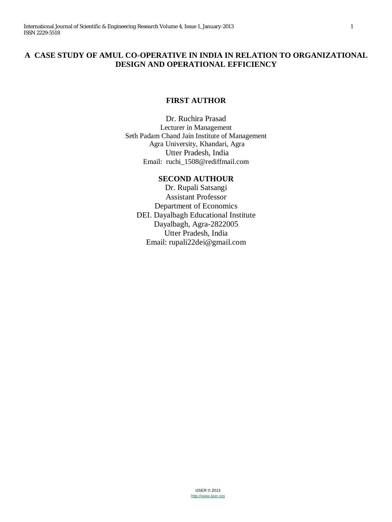# **A CASE STUDY OF AMUL CO-OPERATIVE IN INDIA IN RELATION TO ORGANIZATIONAL DESIGN AND OPERATIONAL EFFICIENCY**

## **FIRST AUTHOR**

Dr. Ruchira Prasad Lecturer in Management Seth Padam Chand Jain Institute of Management Agra University, Khandari, Agra Utter Pradesh, India Email: ruchi\_1508@rediffmail.com

# **SECOND AUTHOUR**

Dr. Rupali Satsangi Assistant Professor Department of Economics DEI. Dayalbagh Educational Institute Dayalbagh, Agra-2822005 Utter Pradesh, India Email: rupali22dei@gmail.com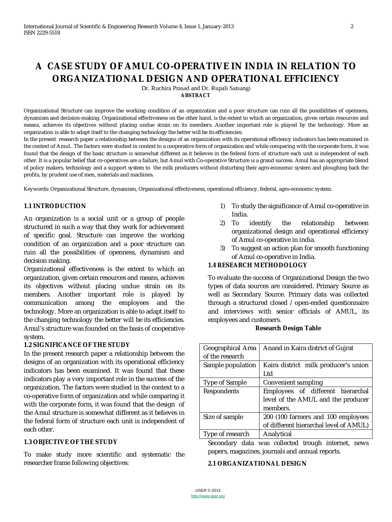# **A CASE STUDY OF AMUL CO-OPERATIVE IN INDIA IN RELATION TO ORGANIZATIONAL DESIGN AND OPERATIONAL EFFICIENCY**

Dr. Ruchira Prasad and Dr. Rupali Satsangi **ABSTRACT**

Organizational Structure can improve the working condition of an organization and a poor structure can ruin all the possibilities of openness, dynamism and decision-making. Organizational effectiveness on the other hand, is the extent to which an organization, given certain resources and means, achieves its objectives without placing undue strain on its members. Another important role is played by the technology. More an organization is able to adapt itself to the changing technology the better will be its efficiencies.

In the present research paper a relationship between the designs of an organization with its operational efficiency indicators has been examined in the context of Amul.. The factors were studied in context to a cooperative form of organization and while comparing with the corporate form, it was found that the design of the basic structure is somewhat different as it believes in the federal form of structure each unit is independent of each other. It is a popular belief that co-operatives are a failure, but Amul with Co-operative Structure is a grand success. Amul has an appropriate blend of policy makers, technology and a support system to the milk producers without disturbing their agro-economic system and ploughing back the profits, by prudent use of men, materials and machines.

Keywords: Organizational Structure, dynamism, Organizational effectiveness, operational efficiency, federal, agro-economic system.

## **1.1 INTRODUCTION**

An organization is a social unit or a group of people structured in such a way that they work for achievement of specific goal. Structure can improve the working condition of an organization and a poor structure can ruin all the possibilities of openness, dynamism and decision making.

Organizational effectiveness is the extent to which an organization, given certain resources and means, achieves its objectives without placing undue strain on its members. Another important role is played by communication among the employees and the technology. More an organization is able to adapt itself to the changing technology the better will be its efficiencies. Amul's structure was founded on the basis of cooperative system.

## **1.2 SIGNIFICANCE OF THE STUDY**

In the present research paper a relationship between the designs of an organization with its operational efficiency indicators has been examined. It was found that these indicators play a very important role in the success of the organization. The factors were studied in the context to a co-operative form of organization and while comparing it with the corporate form, it was found that the design of the Amul structure is somewhat different as it believes in the federal form of structure each unit is independent of each other.

## **1.3 OBJECTIVE OF THE STUDY**

To make study more scientific and systematic the researcher frame following objectives:

- 1) To study the significance of Amul co-operative in India.
- 2) To identify the relationship between organizational design and operational efficiency of Amul co-operative in india.
- 3) To suggest an action plan for smooth functioning of Amul co-operative in India.

## **1.4 RESEARCH METHODOLOGY**

To evaluate the success of Organizational Design the two types of data sources are considered. Primary Source as well as Secondary Source. Primary data was collected through a structured closed / open-ended questionnaire and interviews with senior officials of AMUL, its employees and customers.

## **Research Design Table**

| Geographical Area | Anand in Kaira district of Gujrat      |  |
|-------------------|----------------------------------------|--|
| of the research   |                                        |  |
| Sample population | Kaira district milk producer's union   |  |
|                   | Ltd                                    |  |
| Type of Sample    | Convenient sampling                    |  |
| Respondents       | Employees of different hierarchal      |  |
|                   | level of the AMUL and the producer     |  |
|                   | members.                               |  |
| Size of sample    | 200 (100 farmers and 100 employees     |  |
|                   | of different hierarchal level of AMUL) |  |
| Type of research  | Analytical                             |  |

Secondary data was collected trough internet, news papers, magazines, journals and annual reports.

#### **2.1 ORGANIZATIONAL DESIGN**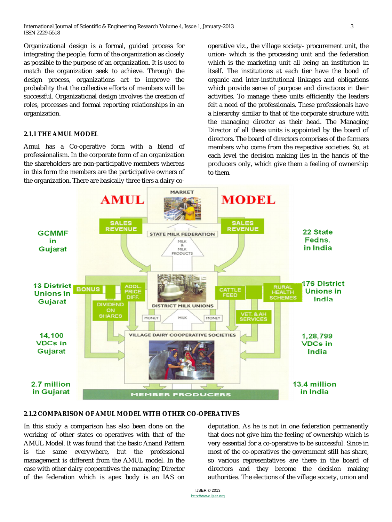Organizational design is a formal, guided process for integrating the people, form of the organization as closely as possible to the purpose of an organization. It is used to match the organization seek to achieve. Through the design process, organizations act to improve the probability that the collective efforts of members will be successful. Organizational design involves the creation of roles, processes and formal reporting relationships in an organization.

## **2.1.1 THE AMUL MODEL**

Amul has a Co-operative form with a blend of professionalism. In the corporate form of an organization the shareholders are non-participative members whereas in this form the members are the participative owners of the organization. There are basically three tiers a dairy cooperative viz., the village society- procurement unit, the union- which is the processing unit and the federation which is the marketing unit all being an institution in itself. The institutions at each tier have the bond of organic and inter-institutional linkages and obligations which provide sense of purpose and directions in their activities. To manage these units efficiently the leaders felt a need of the professionals. These professionals have a hierarchy similar to that of the corporate structure with the managing director as their head. The Managing Director of all these units is appointed by the board of directors. The board of directors comprises of the farmers members who come from the respective societies. So, at each level the decision making lies in the hands of the producers only, which give them a feeling of ownership to them.



## **2.1.2 COMPARISON OF AMUL MODEL WITH OTHER CO-OPERATIVES**

In this study a comparison has also been done on the working of other states co-operatives with that of the AMUL Model. It was found that the basic Anand Pattern is the same everywhere, but the professional management is different from the AMUL model. In the case with other dairy cooperatives the managing Director of the federation which is apex body is an IAS on deputation. As he is not in one federation permanently that does not give him the feeling of ownership which is very essential for a co-operative to be successful. Since in most of the co-operatives the government still has share, so various representatives are there in the board of directors and they become the decision making authorities. The elections of the village society, union and

IJSER © 2013 http://www.ijser.org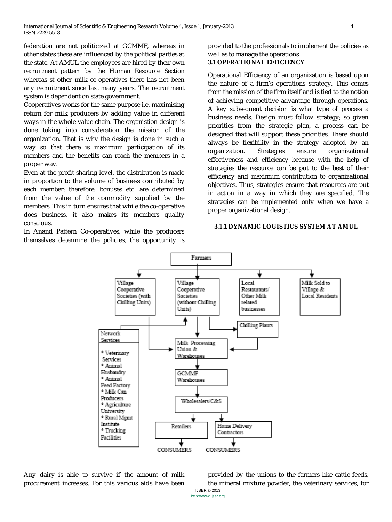federation are not politicized at GCMMF, whereas in other states these are influenced by the political parties at the state. At AMUL the employees are hired by their own recruitment pattern by the Human Resource Section whereas st other milk co-operatives there has not been any recruitment since last many years. The recruitment system is dependent on state government.

Cooperatives works for the same purpose i.e. maximising return for milk producers by adding value in different ways in the whole value chain. The organistion design is done taking into consideration the mission of the organization. That is why the design is done in such a way so that there is maximum participation of its members and the benefits can reach the members in a proper way.

Even at the profit-sharing level, the distribution is made in proportion to the volume of business contributed by each member; therefore, bonuses etc. are determined from the value of the commodity supplied by the members. This in turn ensures that while the co-operative does business, it also makes its members quality conscious.

In Anand Pattern Co-operatives, while the producers themselves determine the policies, the opportunity is provided to the professionals to implement the policies as well as to manage the operations

## **3.1 OPERATIONAL EFFICIENCY**

Operational Efficiency of an organization is based upon the nature of a firm's operations strategy. This comes from the mission of the firm itself and is tied to the notion of achieving competitive advantage through operations. A key subsequent decision is what type of process a business needs. Design must follow strategy; so given priorities from the strategic plan, a process can be designed that will support these priorities. There should always be flexibility in the strategy adopted by an organization. Strategies ensure organizational effectiveness and efficiency because with the help of strategies the resource can be put to the best of their efficiency and maximum contribution to organizational objectives. Thus, strategies ensure that resources are put in action in a way in which they are specified. The strategies can be implemented only when we have a proper organizational design.

## **3.1.1 DYNAMIC LOGISTICS SYSTEM AT AMUL**



Any dairy is able to survive if the amount of milk procurement increases. For this various aids have been IJSER © 2013 provided by the unions to the farmers like cattle feeds, the mineral mixture powder, the veterinary services, for

http://www.ijser.org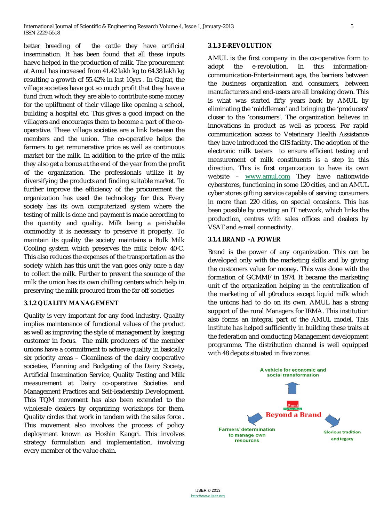better breeding of the cattle they have artificial insemination. It has been found that all these inputs haeve helped in the production of milk. The procurement at Amul has increased from 41.42 lakh kg to 64.38 lakh kg resulting a growth of 55.42% in last 10yrs . In Gujrat, the village societies have got so much profit that they have a fund from which they are able to contribute some money for the upliftment of their village like opening a school, building a hospital etc. This gives a good impact on the villagers and encourages them to become a part of the cooperative. These village societies are a link between the members and the union. The co-operative helps the farmers to get remunerative price as well as continuous market for the milk. In addition to the price of the milk they also get a bonus at the end of the year from the profit of the organization. The professionals utilize it by diversifying the products and finding suitable market. To further improve the efficiency of the procurement the organization has used the technology for this. Every society has its own computerized system where the testing of milk is done and payment is made according to the quantity and quality. Milk being a perishable commodity it is necessary to preserve it properly. To maintain its quality the society maintains a Bulk Milk Cooling system which preserves the milk below  $40^{\circ}$ C. This also reduces the expenses of the transportation as the society which has this unit the van goes only once a day to collect the milk. Further to prevent the sourage of the milk the union has its own chilling centers which help in preserving the milk procured from the far off societies

## **3.1.2 QUALITY MANAGEMENT**

Quality is very important for any food industry. Quality implies maintenance of functional values of the product as well as improving the style of management by keeping customer in focus. The milk producers of the member unions have a commitment to achieve quality in basically six priority areas – Cleanliness of the dairy cooperative societies, Planning and Budgeting of the Dairy Society, Artificial Insemination Service, Quality Testing and Milk measurement at Dairy co-operative Societies and Management Practices and Self-leadership Development. This TQM movement has also been extended to the wholesale dealers by organizing workshops for them. Quality circles that work in tandem with the sales force . This movement also involves the process of policy deployment known as Hoshin Kangri. This involves strategy formulation and implementation, involving every member of the value chain.

#### **3.1.3 E-REVOLUTION**

AMUL is the first company in the co-operative form to adopt the e-revolution. In this informationcommunication-Entertainment age, the barriers between the business organization and consumers, between manufacturers and end-users are all breaking down. This is what was started fifty years back by AMUL by eliminating the 'middlemen' and bringing the 'producers' closer to the 'consumers'. The organization believes in innovations in product as well as process. For rapid communication access to Veterinary Health Assistance they have introduced the GIS facility. The adoption of the electronic milk testers to ensure efficient testing and measurement of milk constituents is a step in this direction. This is first organization to have its own website – www.amul.com They have nationwide cyberstores, functioning in some 120 cities, and an AMUL cyber stores gifting service capable of serving consumers in more than 220 cities, on special occasions. This has been possible by creating an IT network, which links the production, centres with sales offices and dealers by VSAT and e-mail connectivity.

## **3.1.4 BRAND –A POWER**

Brand is the power of any organization. This can be developed only with the marketing skills and by giving the customers value for money. This was done with the formation of GCMMF in 1974. It became the marketing unit of the organization helping in the centralization of the marketing of all p0roducs except liquid milk which the unions had to do on its own. AMUL has a strong support of the rural Managers for IRMA. This institution also forms an integral part of the AMUL model. This institute has helped sufficiently in building these traits at the federation and conducting Management development programme. The distribution channel is well equipped with 48 depots situated in five zones.

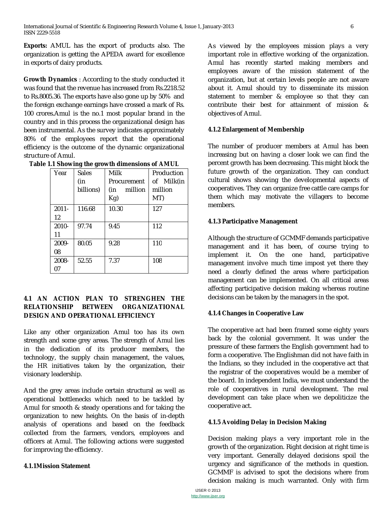**Exports:** AMUL has the export of products also. The organization is getting the APEDA award for excellence in exports of dairy products.

**Growth Dynamics** *:* According to the study conducted it was found that the revenue has increased from Rs.2218.52 to Rs.8005.36. The exports have also gone up by 50% and the foreign exchange earnings have crossed a mark of Rs. 100 crores.Amul is the no.1 most popular brand in the country and in this process the organizational design has been instrumental. As the survey indicates approximately 80% of the employees report that the operational efficiency is the outcome of the dynamic organizational structure of Amul.

| Year     | Sales     | Milk           | Production |
|----------|-----------|----------------|------------|
|          | (in       | Procurement    | of Milk(in |
|          | billions) | million<br>(in | million    |
|          |           | Kg)            | MT)        |
| $2011 -$ | 116.68    | 10.30          | 127        |
| 12       |           |                |            |
| $2010 -$ | 97.74     | 9.45           | 112        |
| 11       |           |                |            |
| 2009-    | 80.05     | 9.28           | 110        |
| 08       |           |                |            |
| 2008-    | 52.55     | 7.37           | 108        |
| 07       |           |                |            |

## **4.1 AN ACTION PLAN TO STRENGHEN THE RELATIONSHIP BETWEEN ORGANIZATIONAL DESIGN AND OPERATIONAL EFFICIENCY**

Like any other organization Amul too has its own strength and some grey areas. The strength of Amul lies in the dedication of its producer members, the technology, the supply chain management, the values, the HR initiatives taken by the organization, their visionary leadership.

And the grey areas include certain structural as well as operational bottlenecks which need to be tackled by Amul for smooth & steady operations and for taking the organization to new heights. On the basis of in-depth analysis of operations and based on the feedback collected from the farmers, vendors, employees and officers at Amul. The following actions were suggested for improving the efficiency.

## **4.1.1Mission Statement**

As viewed by the employees mission plays a very important role in effective working of the organization. Amul has recently started making members and employees aware of the mission statement of the organization, but at certain levels people are not aware about it. Amul should try to disseminate its mission statement to member & employee so that they can contribute their best for attainment of mission & objectives of Amul.

## **4.1.2 Enlargement of Membership**

The number of producer members at Amul has been increasing but on having a closer look we can find the percent growth has been decreasing. This might block the future growth of the organization. They can conduct cultural shows showing the developmental aspects of cooperatives. They can organize free cattle care camps for them which may motivate the villagers to become members.

## **4.1.3 Participative Management**

Although the structure of GCMMF demands participative management and it has been, of course trying to implement it. On the one hand, participative management involve much time impost yet there they need a clearly defined the areas where participation management can be implemented. On all critical areas affecting participative decision making whereas routine decisions can be taken by the managers in the spot.

## **4.1.4 Changes in Cooperative Law**

The cooperative act had been framed some eighty years back by the colonial government. It was under the pressure of these farmers the English government had to form a cooperative. The Englishman did not have faith in the Indians, so they included in the cooperative act that the registrar of the cooperatives would be a member of the board. In independent India, we must understand the role of cooperatives in rural development. The real development can take place when we depoliticize the cooperative act.

## **4.1.5 Avoiding Delay in Decision Making**

Decision making plays a very important role in the growth of the organization. Right decision at right time is very important. Generally delayed decisions spoil the urgency and significance of the methods in question. GCMMF is advised to spot the decisions where from decision making is much warranted. Only with firm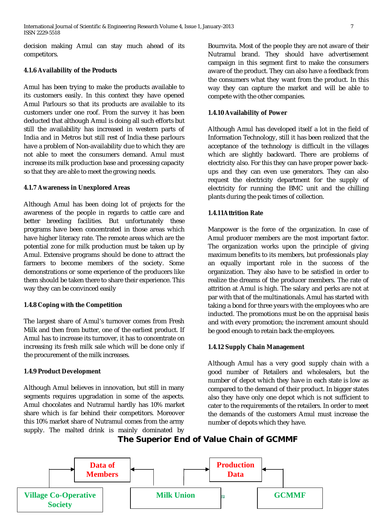decision making Amul can stay much ahead of its competitors.

## **4.1.6 Availability of the Products**

Amul has been trying to make the products available to its customers easily. In this context they have opened Amul Parlours so that its products are available to its customers under one roof. From the survey it has been deducted that although Amul is doing all such efforts but still the availability has increased in western parts of India and in Metros but still rest of India these parlours have a problem of Non-availability due to which they are not able to meet the consumers demand. Amul must increase its milk production base and processing capacity so that they are able to meet the growing needs.

#### **4.1.7 Awareness in Unexplored Areas**

Although Amul has been doing lot of projects for the awareness of the people in regards to cattle care and better breeding facilities. But unfortunately these programs have been concentrated in those areas which have higher literacy rate. The remote areas which are the potential zone for milk production must be taken up by Amul. Extensive programs should be done to attract the farmers to become members of the society. Some demonstrations or some experience of the producers like them should be taken there to share their experience. This way they can be convinced easily

## **1.4.8 Coping with the Competition**

The largest share of Amul's turnover comes from Fresh Milk and then from butter, one of the earliest product. If Amul has to increase its turnover, it has to concentrate on increasing its fresh milk sale which will be done only if the procurement of the milk increases.

## **1.4.9 Product Development**

Although Amul believes in innovation, but still in many segments requires upgradation in some of the aspects. Amul chocolates and Nutramul hardly has 10% market share which is far behind their competitors. Moreover this 10% market share of Nutramul comes from the army supply. The malted drink is mainly dominated by Bournvita. Most of the people they are not aware of their Nutramul brand. They should have advertisement campaign in this segment first to make the consumers aware of the product. They can also have a feedback from the consumers what they want from the product. In this way they can capture the market and will be able to compete with the other companies.

#### **1.4.10 Availability of Power**

Although Amul has developed itself a lot in the field of Information Technology, still it has been realized that the acceptance of the technology is difficult in the villages which are slightly backward. There are problems of electricity also. For this they can have proper power backups and they can even use generators. They can also request the electricity department for the supply of electricity for running the BMC unit and the chilling plants during the peak times of collection.

## **1.4.11Attrition Rate**

Manpower is the force of the organization. In case of Amul producer members are the most important factor. The organization works upon the principle of giving maximum benefits to its members, but professionals play an equally important role in the success of the organization. They also have to be satisfied in order to realize the dreams of the producer members. The rate of attrition at Amul is high. The salary and perks are not at par with that of the multinationals. Amul has started with taking a bond for three years with the employees who are inducted. The promotions must be on the appraisal basis and with every promotion; the increment amount should be good enough to retain back the employees.

## **1.4.12 Supply Chain Management**

Although Amul has a very good supply chain with a good number of Retailers and wholesalers, but the number of depot which they have in each state is low as compared to the demand of their product. In bigger states also they have only one depot which is not sufficient to cater to the requirements of the retailers. In order to meet the demands of the customers Amul must increase the number of depots which they have.

## **The Superior End of Value Chain of GCMMF**

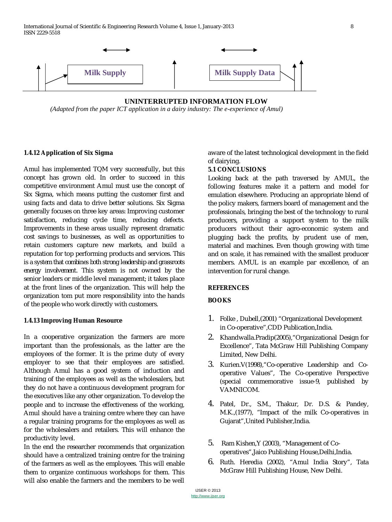International Journal of Scientific & Engineering Research Volume 4, Issue 1, January-2013 8 ISSN 2229-5518



**UNINTERRUPTED INFORMATION FLOW**  *(Adapted from the paper ICT application in a dairy industry: The e-experience of Amul)*

#### **1.4.12 Application of Six Sigma**

Amul has implemented TQM very successfully, but this concept has grown old. In order to succeed in this competitive environment Amul must use the concept of Six Sigma, which means putting the customer first and using facts and data to drive better solutions. Six Sigma generally focuses on three key areas: Improving customer satisfaction, reducing cycle time, reducing defects. Improvements in these areas usually represent dramatic cost savings to businesses, as well as opportunities to retain customers capture new markets, and build a reputation for top performing products and services. *This is a system that combines both strong leadership and grassroots energy involvement.* This system is not owned by the senior leaders or middle level management; it takes place at the front lines of the organization. This will help the organization tom put more responsibility into the hands of the people who work directly with customers.

#### **1.4.13 Improving Human Resource**

In a cooperative organization the farmers are more important than the professionals, as the latter are the employees of the former. It is the prime duty of every employer to see that their employees are satisfied. Although Amul has a good system of induction and training of the employees as well as the wholesalers, but they do not have a continuous development program for the executives like any other organization. To develop the people and to increase the effectiveness of the working, Amul should have a training centre where they can have a regular training programs for the employees as well as for the wholesalers and retailers. This will enhance the productivity level.

In the end the researcher recommends that organization should have a centralized training centre for the training of the farmers as well as the employees. This will enable them to organize continuous workshops for them. This will also enable the farmers and the members to be well aware of the latest technological development in the field of dairying.

#### **5.1 CONCLUSIONS**

Looking back at the path traversed by AMUL, the following features make it a pattern and model for emulation elsewhere. Producing an appropriate blend of the policy makers, farmers board of management and the professionals, bringing the best of the technology to rural producers, providing a support system to the milk producers without their agro-economic system and plugging back the profits, by prudent use of men, material and machines. Even though growing with time and on scale, it has remained with the smallest producer members. AMUL is an example par excellence, of an intervention for rural change.

## **REFERENCES**

## **BOOKS**

- 1. Folke , Dubell,(2001) "Organizational Development in Co-operative",CDD Publication,India.
- 2. Khandwalla.Pradip(2005),"Organizational Design for Excellence", Tata McGraw Hill Publishing Company Limited, New Delhi.
- 3. Kurien.V(1998),"Co-operative Leadership and Cooperative Values", The Co-operative Perspective (special commemorative issue-9*,* published by VAMNICOM.
- 4. Patel, Dr., S.M., Thakur, Dr. D.S. & Pandey, M.K.,(1977), "Impact of the milk Co-operatives in Gujarat",United Publisher,India.
- 5. Ram Kishen,Y (2003), "Management of Cooperatives",Jaico Publishing House,Delhi,India.
- 6. Ruth. Heredia (2002), "Amul India Story"*,* Tata McGraw Hill Publishing House, New Delhi.